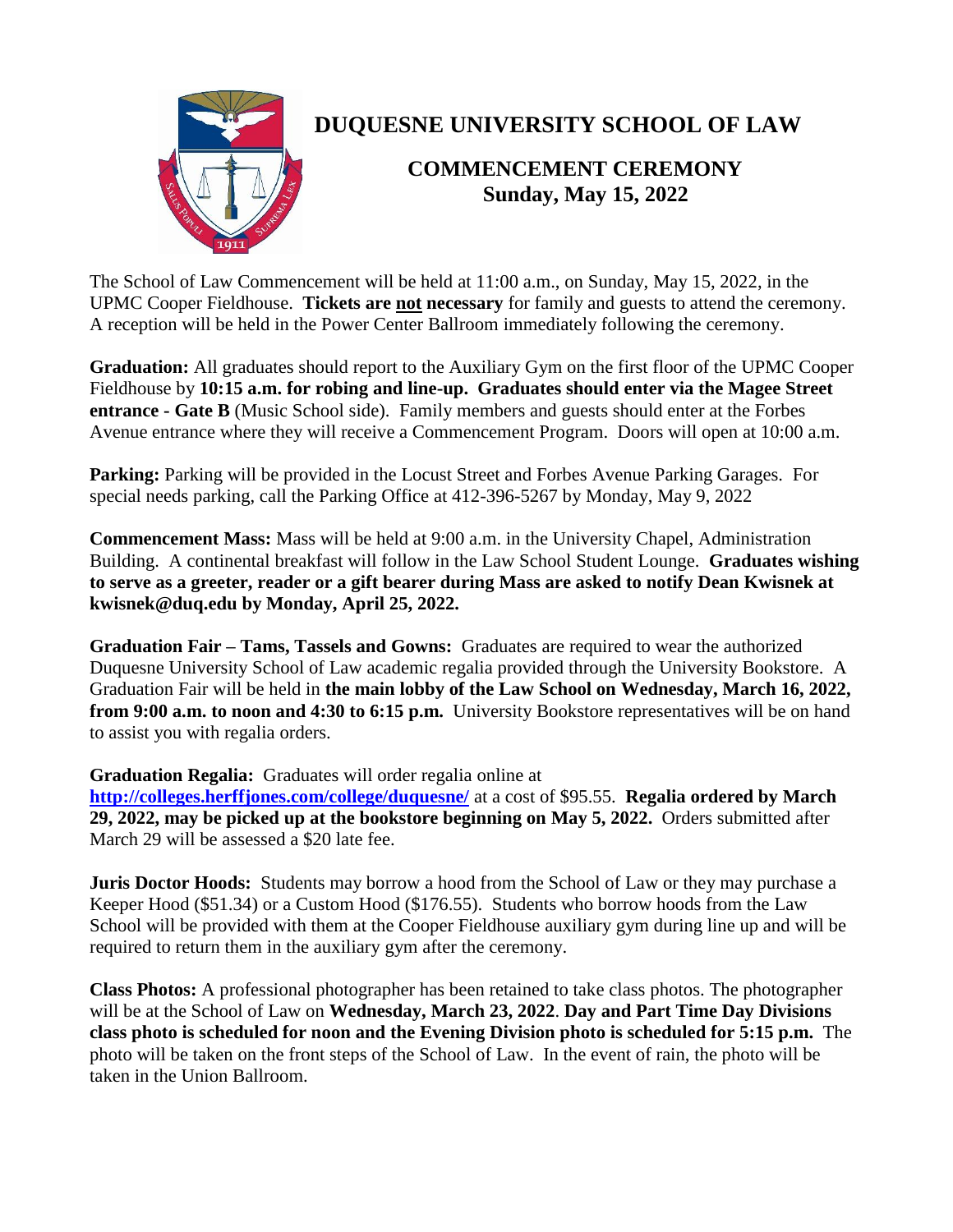

## **DUQUESNE UNIVERSITY SCHOOL OF LAW**

## **COMMENCEMENT CEREMONY Sunday, May 15, 2022**

The School of Law Commencement will be held at 11:00 a.m., on Sunday, May 15, 2022, in the UPMC Cooper Fieldhouse. **Tickets are not necessary** for family and guests to attend the ceremony. A reception will be held in the Power Center Ballroom immediately following the ceremony.

**Graduation:** All graduates should report to the Auxiliary Gym on the first floor of the UPMC Cooper Fieldhouse by **10:15 a.m. for robing and line-up. Graduates should enter via the Magee Street entrance - Gate B** (Music School side). Family members and guests should enter at the Forbes Avenue entrance where they will receive a Commencement Program. Doors will open at 10:00 a.m.

**Parking:** Parking will be provided in the Locust Street and Forbes Avenue Parking Garages. For special needs parking, call the Parking Office at 412-396-5267 by Monday, May 9, 2022

**Commencement Mass:** Mass will be held at 9:00 a.m. in the University Chapel, Administration Building. A continental breakfast will follow in the Law School Student Lounge. **Graduates wishing to serve as a greeter, reader or a gift bearer during Mass are asked to notify Dean Kwisnek at kwisnek@duq.edu by Monday, April 25, 2022.**

**Graduation Fair – Tams, Tassels and Gowns:** Graduates are required to wear the authorized Duquesne University School of Law academic regalia provided through the University Bookstore. A Graduation Fair will be held in **the main lobby of the Law School on Wednesday, March 16, 2022, from 9:00 a.m. to noon and 4:30 to 6:15 p.m.** University Bookstore representatives will be on hand to assist you with regalia orders.

**Graduation Regalia:** Graduates will order regalia online at

**<http://colleges.herffjones.com/college/duquesne/>** at a cost of \$95.55. **Regalia ordered by March 29, 2022, may be picked up at the bookstore beginning on May 5, 2022.** Orders submitted after March 29 will be assessed a \$20 late fee.

**Juris Doctor Hoods:** Students may borrow a hood from the School of Law or they may purchase a Keeper Hood (\$51.34) or a Custom Hood (\$176.55). Students who borrow hoods from the Law School will be provided with them at the Cooper Fieldhouse auxiliary gym during line up and will be required to return them in the auxiliary gym after the ceremony.

**Class Photos:** A professional photographer has been retained to take class photos. The photographer will be at the School of Law on **Wednesday, March 23, 2022**. **Day and Part Time Day Divisions class photo is scheduled for noon and the Evening Division photo is scheduled for 5:15 p.m.** The photo will be taken on the front steps of the School of Law. In the event of rain, the photo will be taken in the Union Ballroom.